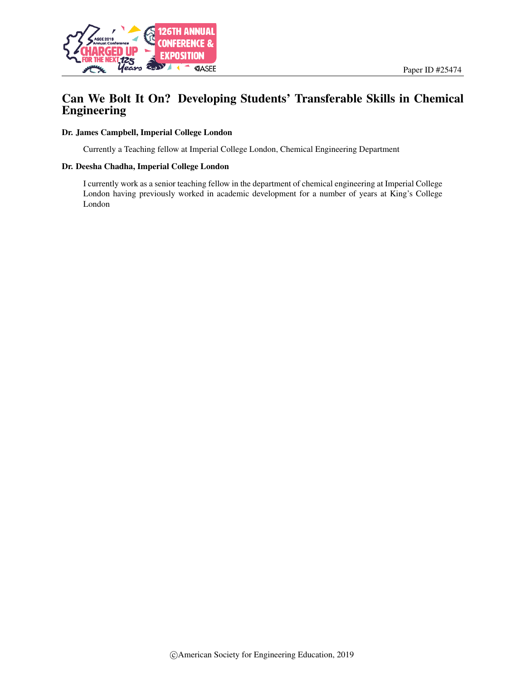

## Can We Bolt It On? Developing Students' Transferable Skills in Chemical Engineering

#### Dr. James Campbell, Imperial College London

Currently a Teaching fellow at Imperial College London, Chemical Engineering Department

#### Dr. Deesha Chadha, Imperial College London

I currently work as a senior teaching fellow in the department of chemical engineering at Imperial College London having previously worked in academic development for a number of years at King's College London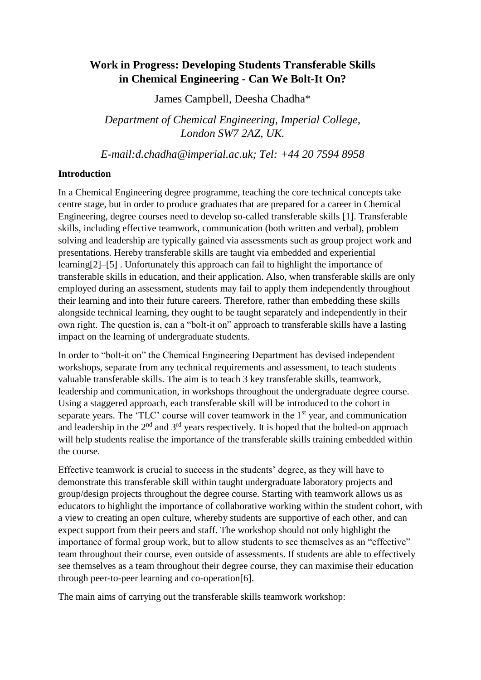# **Work in Progress: Developing Students Transferable Skills in Chemical Engineering - Can We Bolt-It On?**

James Campbell, Deesha Chadha\*

*Department of Chemical Engineering, Imperial College, London SW7 2AZ, UK.* 

*E-mail:d.chadha@imperial.ac.uk; Tel: +44 20 7594 8958*

#### **Introduction**

In a Chemical Engineering degree programme, teaching the core technical concepts take centre stage, but in order to produce graduates that are prepared for a career in Chemical Engineering, degree courses need to develop so-called transferable skills [1]. Transferable skills, including effective teamwork, communication (both written and verbal), problem solving and leadership are typically gained via assessments such as group project work and presentations. Hereby transferable skills are taught via embedded and experiential learning[2]–[5] . Unfortunately this approach can fail to highlight the importance of transferable skills in education, and their application. Also, when transferable skills are only employed during an assessment, students may fail to apply them independently throughout their learning and into their future careers. Therefore, rather than embedding these skills alongside technical learning, they ought to be taught separately and independently in their own right. The question is, can a "bolt-it on" approach to transferable skills have a lasting impact on the learning of undergraduate students.

In order to "bolt-it on" the Chemical Engineering Department has devised independent workshops, separate from any technical requirements and assessment, to teach students valuable transferable skills. The aim is to teach 3 key transferable skills, teamwork, leadership and communication, in workshops throughout the undergraduate degree course. Using a staggered approach, each transferable skill will be introduced to the cohort in separate years. The 'TLC' course will cover teamwork in the 1<sup>st</sup> year, and communication and leadership in the  $2<sup>nd</sup>$  and  $3<sup>rd</sup>$  years respectively. It is hoped that the bolted-on approach will help students realise the importance of the transferable skills training embedded within the course.

Effective teamwork is crucial to success in the students' degree, as they will have to demonstrate this transferable skill within taught undergraduate laboratory projects and group/design projects throughout the degree course. Starting with teamwork allows us as educators to highlight the importance of collaborative working within the student cohort, with a view to creating an open culture, whereby students are supportive of each other, and can expect support from their peers and staff. The workshop should not only highlight the importance of formal group work, but to allow students to see themselves as an "effective" team throughout their course, even outside of assessments. If students are able to effectively see themselves as a team throughout their degree course, they can maximise their education through peer-to-peer learning and co-operation[6].

The main aims of carrying out the transferable skills teamwork workshop: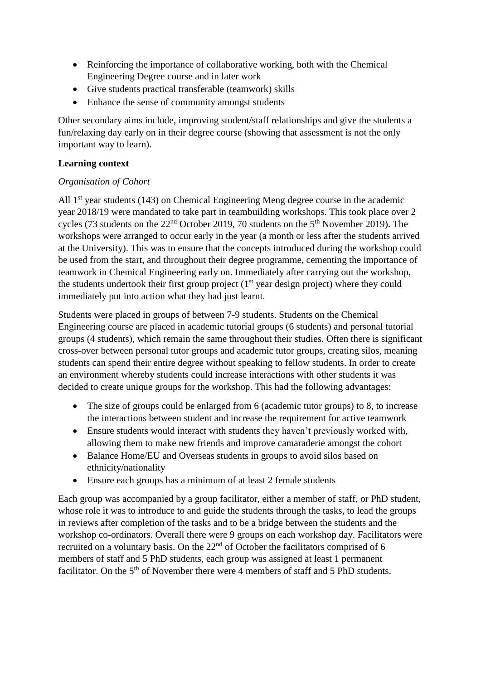- Reinforcing the importance of collaborative working, both with the Chemical Engineering Degree course and in later work
- Give students practical transferable (teamwork) skills
- Enhance the sense of community amongst students

Other secondary aims include, improving student/staff relationships and give the students a fun/relaxing day early on in their degree course (showing that assessment is not the only important way to learn).

### **Learning context**

#### *Organisation of Cohort*

All 1<sup>st</sup> year students (143) on Chemical Engineering Meng degree course in the academic year 2018/19 were mandated to take part in teambuilding workshops. This took place over 2 cycles (73 students on the  $22<sup>nd</sup>$  October 2019, 70 students on the  $5<sup>th</sup>$  November 2019). The workshops were arranged to occur early in the year (a month or less after the students arrived at the University). This was to ensure that the concepts introduced during the workshop could be used from the start, and throughout their degree programme, cementing the importance of teamwork in Chemical Engineering early on. Immediately after carrying out the workshop, the students undertook their first group project  $(1<sup>st</sup>$  year design project) where they could immediately put into action what they had just learnt.

Students were placed in groups of between 7-9 students. Students on the Chemical Engineering course are placed in academic tutorial groups (6 students) and personal tutorial groups (4 students), which remain the same throughout their studies. Often there is significant cross-over between personal tutor groups and academic tutor groups, creating silos, meaning students can spend their entire degree without speaking to fellow students. In order to create an environment whereby students could increase interactions with other students it was decided to create unique groups for the workshop. This had the following advantages:

- The size of groups could be enlarged from 6 (academic tutor groups) to 8, to increase the interactions between student and increase the requirement for active teamwork
- Ensure students would interact with students they haven't previously worked with, allowing them to make new friends and improve camaraderie amongst the cohort
- Balance Home/EU and Overseas students in groups to avoid silos based on ethnicity/nationality
- Ensure each groups has a minimum of at least 2 female students

Each group was accompanied by a group facilitator, either a member of staff, or PhD student, whose role it was to introduce to and guide the students through the tasks, to lead the groups in reviews after completion of the tasks and to be a bridge between the students and the workshop co-ordinators. Overall there were 9 groups on each workshop day. Facilitators were recruited on a voluntary basis. On the  $22<sup>nd</sup>$  of October the facilitators comprised of 6 members of staff and 5 PhD students, each group was assigned at least 1 permanent facilitator. On the 5<sup>th</sup> of November there were 4 members of staff and 5 PhD students.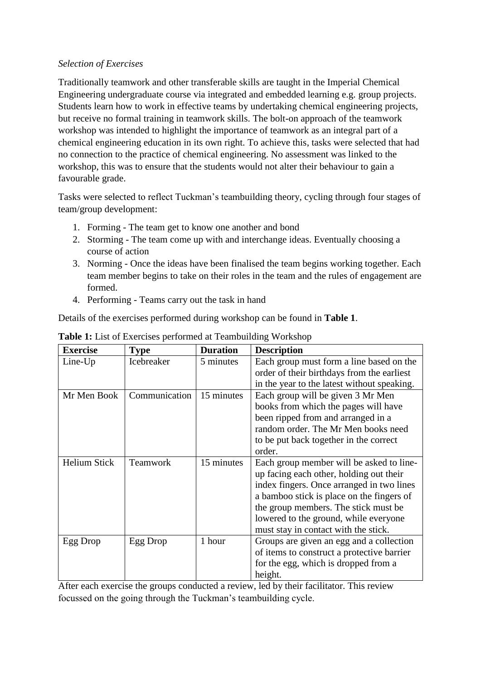#### *Selection of Exercises*

Traditionally teamwork and other transferable skills are taught in the Imperial Chemical Engineering undergraduate course via integrated and embedded learning e.g. group projects. Students learn how to work in effective teams by undertaking chemical engineering projects, but receive no formal training in teamwork skills. The bolt-on approach of the teamwork workshop was intended to highlight the importance of teamwork as an integral part of a chemical engineering education in its own right. To achieve this, tasks were selected that had no connection to the practice of chemical engineering. No assessment was linked to the workshop, this was to ensure that the students would not alter their behaviour to gain a favourable grade.

Tasks were selected to reflect Tuckman's teambuilding theory, cycling through four stages of team/group development:

- 1. Forming The team get to know one another and bond
- 2. Storming The team come up with and interchange ideas. Eventually choosing a course of action
- 3. Norming Once the ideas have been finalised the team begins working together. Each team member begins to take on their roles in the team and the rules of engagement are formed.
- 4. Performing Teams carry out the task in hand

Details of the exercises performed during workshop can be found in **Table 1**.

| <b>Exercise</b>     | <b>Type</b>     | <b>Duration</b> | <b>Description</b>                          |
|---------------------|-----------------|-----------------|---------------------------------------------|
| $Line$ - $Up$       | Icebreaker      | 5 minutes       | Each group must form a line based on the    |
|                     |                 |                 | order of their birthdays from the earliest  |
|                     |                 |                 | in the year to the latest without speaking. |
| Mr Men Book         | Communication   | 15 minutes      | Each group will be given 3 Mr Men           |
|                     |                 |                 | books from which the pages will have        |
|                     |                 |                 | been ripped from and arranged in a          |
|                     |                 |                 | random order. The Mr Men books need         |
|                     |                 |                 | to be put back together in the correct      |
|                     |                 |                 | order.                                      |
| <b>Helium Stick</b> | <b>Teamwork</b> | 15 minutes      | Each group member will be asked to line-    |
|                     |                 |                 | up facing each other, holding out their     |
|                     |                 |                 | index fingers. Once arranged in two lines   |
|                     |                 |                 | a bamboo stick is place on the fingers of   |
|                     |                 |                 | the group members. The stick must be        |
|                     |                 |                 | lowered to the ground, while everyone       |
|                     |                 |                 | must stay in contact with the stick.        |
| Egg Drop            | Egg Drop        | 1 hour          | Groups are given an egg and a collection    |
|                     |                 |                 | of items to construct a protective barrier  |
|                     |                 |                 | for the egg, which is dropped from a        |
|                     |                 |                 | height.                                     |

**Table 1:** List of Exercises performed at Teambuilding Workshop

After each exercise the groups conducted a review, led by their facilitator. This review focussed on the going through the Tuckman's teambuilding cycle.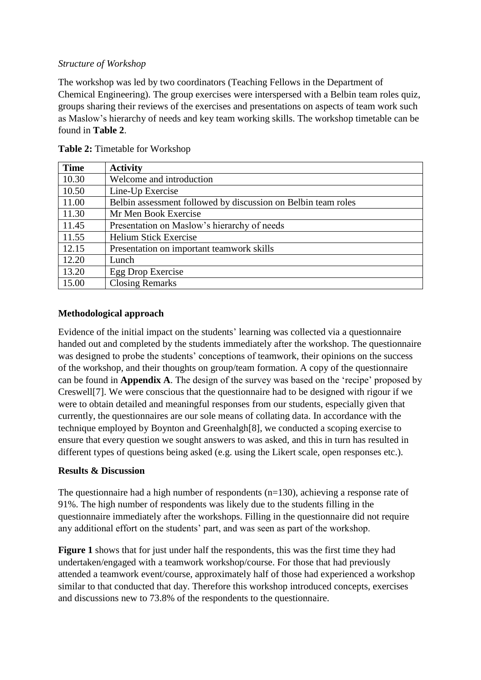#### *Structure of Workshop*

The workshop was led by two coordinators (Teaching Fellows in the Department of Chemical Engineering). The group exercises were interspersed with a Belbin team roles quiz, groups sharing their reviews of the exercises and presentations on aspects of team work such as Maslow's hierarchy of needs and key team working skills. The workshop timetable can be found in **Table 2**.

| <b>Time</b> | <b>Activity</b>                                               |
|-------------|---------------------------------------------------------------|
| 10.30       | Welcome and introduction                                      |
| 10.50       | Line-Up Exercise                                              |
| 11.00       | Belbin assessment followed by discussion on Belbin team roles |
| 11.30       | Mr Men Book Exercise                                          |
| 11.45       | Presentation on Maslow's hierarchy of needs                   |
| 11.55       | <b>Helium Stick Exercise</b>                                  |
| 12.15       | Presentation on important teamwork skills                     |
| 12.20       | Lunch                                                         |
| 13.20       | Egg Drop Exercise                                             |
| 15.00       | <b>Closing Remarks</b>                                        |

| Table 2: Timetable for Workshop |  |
|---------------------------------|--|
|                                 |  |

## **Methodological approach**

Evidence of the initial impact on the students' learning was collected via a questionnaire handed out and completed by the students immediately after the workshop. The questionnaire was designed to probe the students' conceptions of teamwork, their opinions on the success of the workshop, and their thoughts on group/team formation. A copy of the questionnaire can be found in **Appendix A**. The design of the survey was based on the 'recipe' proposed by Creswell[7]. We were conscious that the questionnaire had to be designed with rigour if we were to obtain detailed and meaningful responses from our students, especially given that currently, the questionnaires are our sole means of collating data. In accordance with the technique employed by Boynton and Greenhalgh[8], we conducted a scoping exercise to ensure that every question we sought answers to was asked, and this in turn has resulted in different types of questions being asked (e.g. using the Likert scale, open responses etc.).

#### **Results & Discussion**

The questionnaire had a high number of respondents  $(n=130)$ , achieving a response rate of 91%. The high number of respondents was likely due to the students filling in the questionnaire immediately after the workshops. Filling in the questionnaire did not require any additional effort on the students' part, and was seen as part of the workshop.

**Figure 1** shows that for just under half the respondents, this was the first time they had undertaken/engaged with a teamwork workshop/course. For those that had previously attended a teamwork event/course, approximately half of those had experienced a workshop similar to that conducted that day. Therefore this workshop introduced concepts, exercises and discussions new to 73.8% of the respondents to the questionnaire.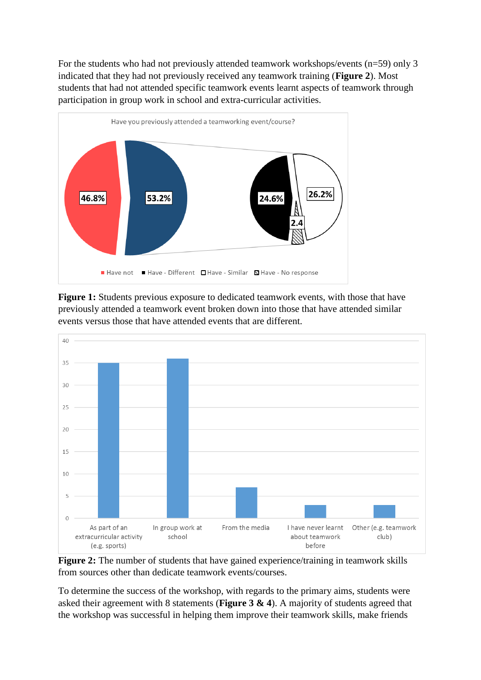For the students who had not previously attended teamwork workshops/events (n=59) only 3 indicated that they had not previously received any teamwork training (**Figure 2**). Most students that had not attended specific teamwork events learnt aspects of teamwork through participation in group work in school and extra-curricular activities.



**Figure 1:** Students previous exposure to dedicated teamwork events, with those that have previously attended a teamwork event broken down into those that have attended similar events versus those that have attended events that are different.



**Figure 2:** The number of students that have gained experience/training in teamwork skills from sources other than dedicate teamwork events/courses.

To determine the success of the workshop, with regards to the primary aims, students were asked their agreement with 8 statements (**Figure 3 & 4**). A majority of students agreed that the workshop was successful in helping them improve their teamwork skills, make friends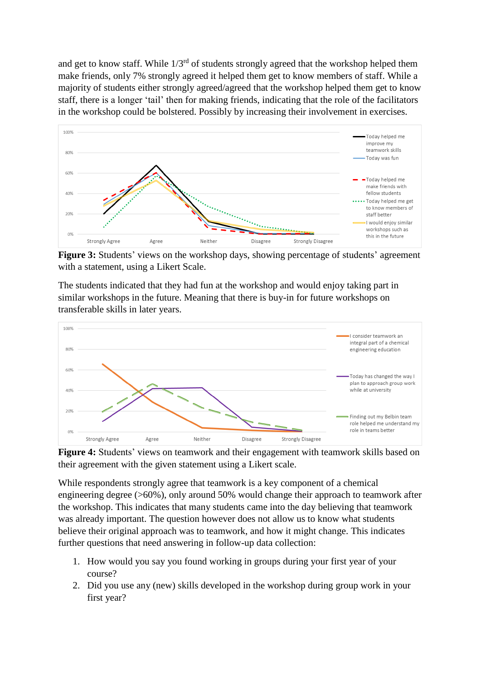and get to know staff. While  $1/3^{rd}$  of students strongly agreed that the workshop helped them make friends, only 7% strongly agreed it helped them get to know members of staff. While a majority of students either strongly agreed/agreed that the workshop helped them get to know staff, there is a longer 'tail' then for making friends, indicating that the role of the facilitators in the workshop could be bolstered. Possibly by increasing their involvement in exercises.



Figure 3: Students' views on the workshop days, showing percentage of students' agreement with a statement, using a Likert Scale.

The students indicated that they had fun at the workshop and would enjoy taking part in similar workshops in the future. Meaning that there is buy-in for future workshops on transferable skills in later years.



**Figure 4:** Students' views on teamwork and their engagement with teamwork skills based on their agreement with the given statement using a Likert scale.

While respondents strongly agree that teamwork is a key component of a chemical engineering degree (>60%), only around 50% would change their approach to teamwork after the workshop. This indicates that many students came into the day believing that teamwork was already important. The question however does not allow us to know what students believe their original approach was to teamwork, and how it might change. This indicates further questions that need answering in follow-up data collection:

- 1. How would you say you found working in groups during your first year of your course?
- 2. Did you use any (new) skills developed in the workshop during group work in your first year?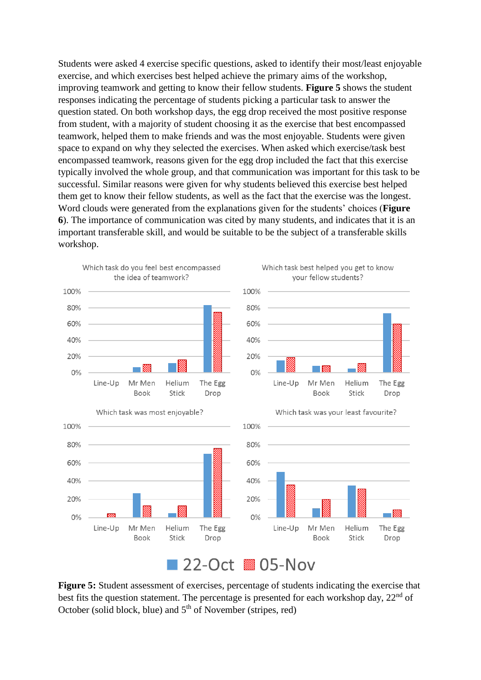Students were asked 4 exercise specific questions, asked to identify their most/least enjoyable exercise, and which exercises best helped achieve the primary aims of the workshop, improving teamwork and getting to know their fellow students. **Figure 5** shows the student responses indicating the percentage of students picking a particular task to answer the question stated. On both workshop days, the egg drop received the most positive response from student, with a majority of student choosing it as the exercise that best encompassed teamwork, helped them to make friends and was the most enjoyable. Students were given space to expand on why they selected the exercises. When asked which exercise/task best encompassed teamwork, reasons given for the egg drop included the fact that this exercise typically involved the whole group, and that communication was important for this task to be successful. Similar reasons were given for why students believed this exercise best helped them get to know their fellow students, as well as the fact that the exercise was the longest. Word clouds were generated from the explanations given for the students' choices (**Figure 6**). The importance of communication was cited by many students, and indicates that it is an important transferable skill, and would be suitable to be the subject of a transferable skills workshop.



# 22-Oct 805-Nov

**Figure 5:** Student assessment of exercises, percentage of students indicating the exercise that best fits the question statement. The percentage is presented for each workshop day,  $22<sup>nd</sup>$  of October (solid block, blue) and  $5<sup>th</sup>$  of November (stripes, red)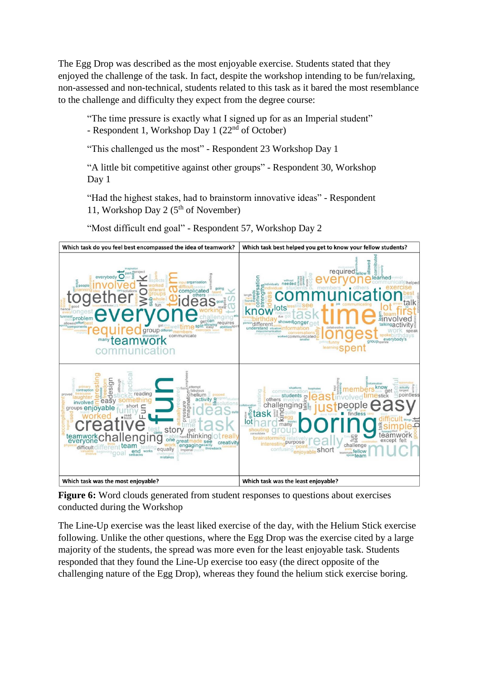The Egg Drop was described as the most enjoyable exercise. Students stated that they enjoyed the challenge of the task. In fact, despite the workshop intending to be fun/relaxing, non-assessed and non-technical, students related to this task as it bared the most resemblance to the challenge and difficulty they expect from the degree course:

"The time pressure is exactly what I signed up for as an Imperial student"

- Respondent 1, Workshop Day 1 (22nd of October)

"This challenged us the most" - Respondent 23 Workshop Day 1

"A little bit competitive against other groups" - Respondent 30, Workshop Day 1

"Had the highest stakes, had to brainstorm innovative ideas" - Respondent 11, Workshop Day 2 ( $5<sup>th</sup>$  of November)

"Most difficult end goal" - Respondent 57, Workshop Day 2



**Figure 6:** Word clouds generated from student responses to questions about exercises conducted during the Workshop

The Line-Up exercise was the least liked exercise of the day, with the Helium Stick exercise following. Unlike the other questions, where the Egg Drop was the exercise cited by a large majority of the students, the spread was more even for the least enjoyable task. Students responded that they found the Line-Up exercise too easy (the direct opposite of the challenging nature of the Egg Drop), whereas they found the helium stick exercise boring.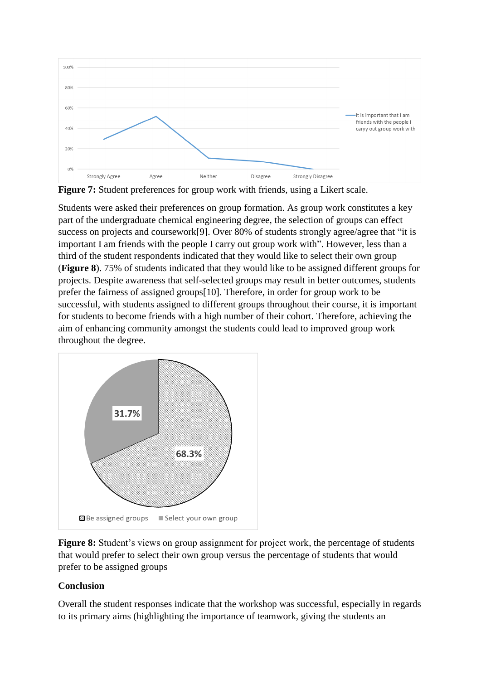

**Figure 7:** Student preferences for group work with friends, using a Likert scale.

Students were asked their preferences on group formation. As group work constitutes a key part of the undergraduate chemical engineering degree, the selection of groups can effect success on projects and coursework[9]. Over 80% of students strongly agree/agree that "it is important I am friends with the people I carry out group work with". However, less than a third of the student respondents indicated that they would like to select their own group (**Figure 8**). 75% of students indicated that they would like to be assigned different groups for projects. Despite awareness that self-selected groups may result in better outcomes, students prefer the fairness of assigned groups[10]. Therefore, in order for group work to be successful, with students assigned to different groups throughout their course, it is important for students to become friends with a high number of their cohort. Therefore, achieving the aim of enhancing community amongst the students could lead to improved group work throughout the degree.



**Figure 8:** Student's views on group assignment for project work, the percentage of students that would prefer to select their own group versus the percentage of students that would prefer to be assigned groups

## **Conclusion**

Overall the student responses indicate that the workshop was successful, especially in regards to its primary aims (highlighting the importance of teamwork, giving the students an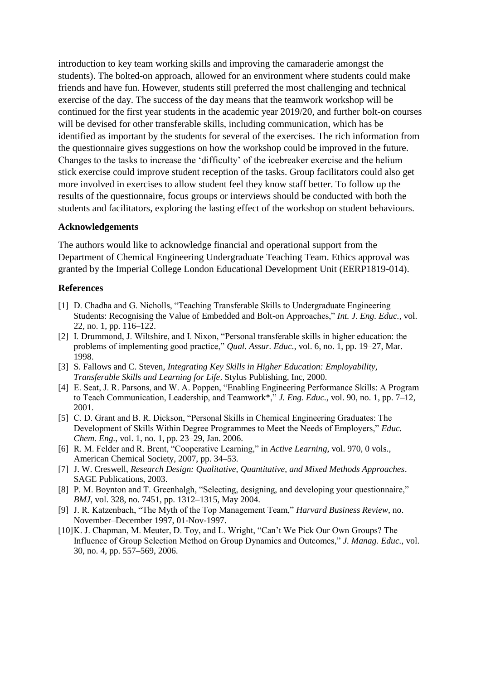introduction to key team working skills and improving the camaraderie amongst the students). The bolted-on approach, allowed for an environment where students could make friends and have fun. However, students still preferred the most challenging and technical exercise of the day. The success of the day means that the teamwork workshop will be continued for the first year students in the academic year 2019/20, and further bolt-on courses will be devised for other transferable skills, including communication, which has be identified as important by the students for several of the exercises. The rich information from the questionnaire gives suggestions on how the workshop could be improved in the future. Changes to the tasks to increase the 'difficulty' of the icebreaker exercise and the helium stick exercise could improve student reception of the tasks. Group facilitators could also get more involved in exercises to allow student feel they know staff better. To follow up the results of the questionnaire, focus groups or interviews should be conducted with both the students and facilitators, exploring the lasting effect of the workshop on student behaviours.

#### **Acknowledgements**

The authors would like to acknowledge financial and operational support from the Department of Chemical Engineering Undergraduate Teaching Team. Ethics approval was granted by the Imperial College London Educational Development Unit (EERP1819-014).

#### **References**

- [1] D. Chadha and G. Nicholls, "Teaching Transferable Skills to Undergraduate Engineering Students: Recognising the Value of Embedded and Bolt-on Approaches," *Int. J. Eng. Educ.*, vol. 22, no. 1, pp. 116–122.
- [2] I. Drummond, J. Wiltshire, and I. Nixon, "Personal transferable skills in higher education: the problems of implementing good practice," *Qual. Assur. Educ.*, vol. 6, no. 1, pp. 19–27, Mar. 1998.
- [3] S. Fallows and C. Steven, *Integrating Key Skills in Higher Education: Employability, Transferable Skills and Learning for Life*. Stylus Publishing, Inc, 2000.
- [4] E. Seat, J. R. Parsons, and W. A. Poppen, "Enabling Engineering Performance Skills: A Program to Teach Communication, Leadership, and Teamwork\*," *J. Eng. Educ.*, vol. 90, no. 1, pp. 7–12, 2001.
- [5] C. D. Grant and B. R. Dickson, "Personal Skills in Chemical Engineering Graduates: The Development of Skills Within Degree Programmes to Meet the Needs of Employers," *Educ. Chem. Eng.*, vol. 1, no. 1, pp. 23–29, Jan. 2006.
- [6] R. M. Felder and R. Brent, "Cooperative Learning," in *Active Learning*, vol. 970, 0 vols., American Chemical Society, 2007, pp. 34–53.
- [7] J. W. Creswell, *Research Design: Qualitative, Quantitative, and Mixed Methods Approaches*. SAGE Publications, 2003.
- [8] P. M. Boynton and T. Greenhalgh, "Selecting, designing, and developing your questionnaire," *BMJ*, vol. 328, no. 7451, pp. 1312–1315, May 2004.
- [9] J. R. Katzenbach, "The Myth of the Top Management Team," *Harvard Business Review*, no. November–December 1997, 01-Nov-1997.
- [10] K. J. Chapman, M. Meuter, D. Toy, and L. Wright, "Can't We Pick Our Own Groups? The Influence of Group Selection Method on Group Dynamics and Outcomes," *J. Manag. Educ.*, vol. 30, no. 4, pp. 557–569, 2006.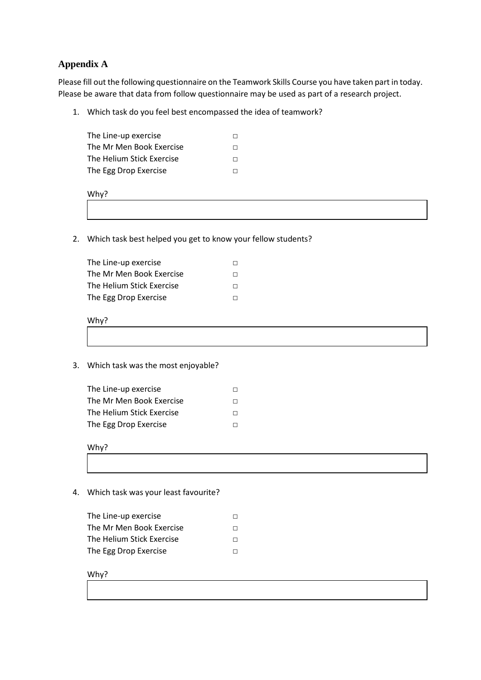#### **Appendix A**

Please fill out the following questionnaire on the Teamwork Skills Course you have taken part in today. Please be aware that data from follow questionnaire may be used as part of a research project.

1. Which task do you feel best encompassed the idea of teamwork?

| The Line-up exercise      | П |
|---------------------------|---|
| The Mr Men Book Exercise  | П |
| The Helium Stick Exercise | П |
| The Egg Drop Exercise     |   |
|                           |   |



2. Which task best helped you get to know your fellow students?

| The Line-up exercise      |   |
|---------------------------|---|
| The Mr Men Book Exercise  | П |
| The Helium Stick Exercise |   |
| The Egg Drop Exercise     |   |

#### Why?

3. Which task was the most enjoyable?

| The Line-up exercise      |    |
|---------------------------|----|
| The Mr Men Book Exercise  | П. |
| The Helium Stick Exercise | П. |
| The Egg Drop Exercise     | П. |

Why?

- 4. Which task was your least favourite?
	- The Line-up exercise □ The Mr Men Book Exercise □ The Helium Stick Exercise □ The Egg Drop Exercise □

Why?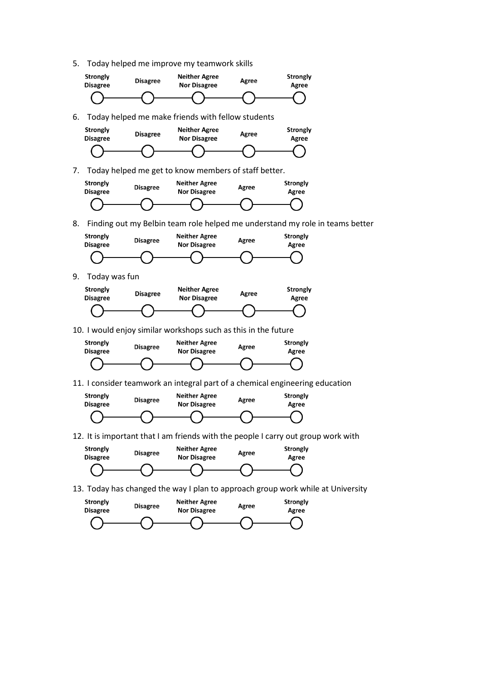5. Today helped me improve my teamwork skills





10. I would enjoy similar workshops such as this in the future



11. I consider teamwork an integral part of a chemical engineering education



12. It is important that I am friends with the people I carry out group work with



13. Today has changed the way I plan to approach group work while at University